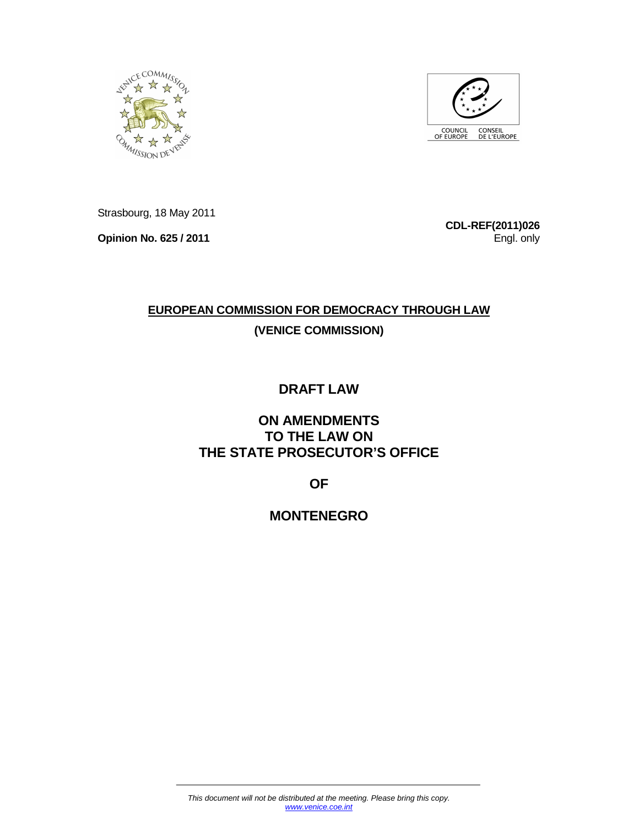



Strasbourg, 18 May 2011

**Opinion No. 625 / 2011** 

**CDL-REF(2011)026**  Engl. only

# **EUROPEAN COMMISSION FOR DEMOCRACY THROUGH LAW (VENICE COMMISSION)**

## **DRAFT LAW**

## **ON AMENDMENTS TO THE LAW ON THE STATE PROSECUTOR'S OFFICE**

**OF** 

## **MONTENEGRO**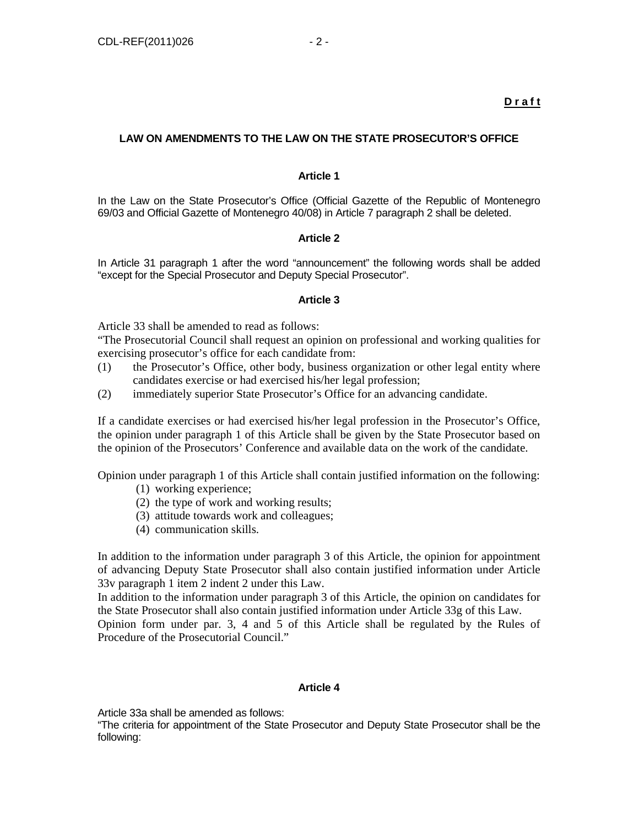## **D r a f t**

## **LAW ON AMENDMENTS TO THE LAW ON THE STATE PROSECUTOR'S OFFICE**

#### **Article 1**

In the Law on the State Prosecutor's Office (Official Gazette of the Republic of Montenegro 69/03 and Official Gazette of Montenegro 40/08) in Article 7 paragraph 2 shall be deleted.

#### **Article 2**

In Article 31 paragraph 1 after the word "announcement" the following words shall be added "except for the Special Prosecutor and Deputy Special Prosecutor".

#### **Article 3**

Article 33 shall be amended to read as follows:

"The Prosecutorial Council shall request an opinion on professional and working qualities for exercising prosecutor's office for each candidate from:

- (1) the Prosecutor's Office, other body, business organization or other legal entity where candidates exercise or had exercised his/her legal profession;
- (2) immediately superior State Prosecutor's Office for an advancing candidate.

If a candidate exercises or had exercised his/her legal profession in the Prosecutor's Office, the opinion under paragraph 1 of this Article shall be given by the State Prosecutor based on the opinion of the Prosecutors' Conference and available data on the work of the candidate.

Opinion under paragraph 1 of this Article shall contain justified information on the following:

- (1) working experience;
- (2) the type of work and working results;
- (3) attitude towards work and colleagues;
- (4) communication skills.

In addition to the information under paragraph 3 of this Article, the opinion for appointment of advancing Deputy State Prosecutor shall also contain justified information under Article 33v paragraph 1 item 2 indent 2 under this Law.

In addition to the information under paragraph 3 of this Article, the opinion on candidates for the State Prosecutor shall also contain justified information under Article 33g of this Law.

Opinion form under par. 3, 4 and 5 of this Article shall be regulated by the Rules of Procedure of the Prosecutorial Council."

## **Article 4**

Article 33a shall be amended as follows:

"The criteria for appointment of the State Prosecutor and Deputy State Prosecutor shall be the following: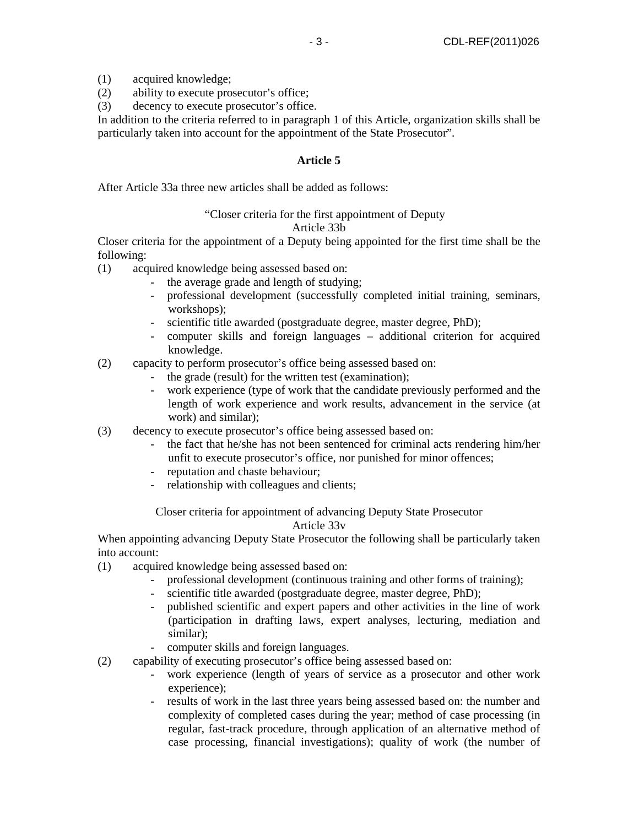- (1) acquired knowledge;
- (2) ability to execute prosecutor's office;
- (3) decency to execute prosecutor's office.

In addition to the criteria referred to in paragraph 1 of this Article, organization skills shall be particularly taken into account for the appointment of the State Prosecutor".

## **Article 5**

After Article 33a three new articles shall be added as follows:

## "Closer criteria for the first appointment of Deputy

## Article 33b

Closer criteria for the appointment of a Deputy being appointed for the first time shall be the following:

- (1) acquired knowledge being assessed based on:
	- the average grade and length of studying;
	- professional development (successfully completed initial training, seminars, workshops);
	- scientific title awarded (postgraduate degree, master degree, PhD);
	- computer skills and foreign languages additional criterion for acquired knowledge.
- (2) capacity to perform prosecutor's office being assessed based on:
	- the grade (result) for the written test (examination);
	- work experience (type of work that the candidate previously performed and the length of work experience and work results, advancement in the service (at work) and similar);
- (3) decency to execute prosecutor's office being assessed based on:
	- the fact that he/she has not been sentenced for criminal acts rendering him/her unfit to execute prosecutor's office, nor punished for minor offences;
	- reputation and chaste behaviour;
	- relationship with colleagues and clients;

Closer criteria for appointment of advancing Deputy State Prosecutor

Article 33v

When appointing advancing Deputy State Prosecutor the following shall be particularly taken into account:

- (1) acquired knowledge being assessed based on:
	- professional development (continuous training and other forms of training);
	- scientific title awarded (postgraduate degree, master degree, PhD);
	- published scientific and expert papers and other activities in the line of work (participation in drafting laws, expert analyses, lecturing, mediation and similar);
	- computer skills and foreign languages.
- (2) capability of executing prosecutor's office being assessed based on:
	- work experience (length of years of service as a prosecutor and other work experience);
	- results of work in the last three years being assessed based on: the number and complexity of completed cases during the year; method of case processing (in regular, fast-track procedure, through application of an alternative method of case processing, financial investigations); quality of work (the number of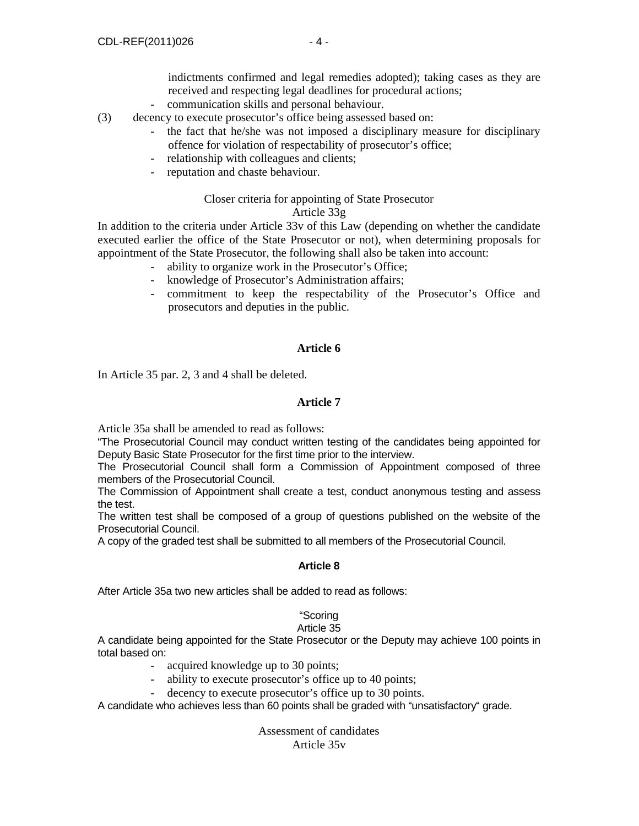indictments confirmed and legal remedies adopted); taking cases as they are received and respecting legal deadlines for procedural actions;

- communication skills and personal behaviour.
- (3) decency to execute prosecutor's office being assessed based on:
	- the fact that he/she was not imposed a disciplinary measure for disciplinary offence for violation of respectability of prosecutor's office;
	- relationship with colleagues and clients;
	- reputation and chaste behaviour.

#### Closer criteria for appointing of State Prosecutor

## Article 33g

In addition to the criteria under Article 33v of this Law (depending on whether the candidate executed earlier the office of the State Prosecutor or not), when determining proposals for appointment of the State Prosecutor, the following shall also be taken into account:

- ability to organize work in the Prosecutor's Office;
- knowledge of Prosecutor's Administration affairs;
- commitment to keep the respectability of the Prosecutor's Office and prosecutors and deputies in the public.

## **Article 6**

In Article 35 par. 2, 3 and 4 shall be deleted.

## **Article 7**

Article 35a shall be amended to read as follows:

"The Prosecutorial Council may conduct written testing of the candidates being appointed for Deputy Basic State Prosecutor for the first time prior to the interview.

The Prosecutorial Council shall form a Commission of Appointment composed of three members of the Prosecutorial Council.

The Commission of Appointment shall create a test, conduct anonymous testing and assess the test.

The written test shall be composed of a group of questions published on the website of the Prosecutorial Council.

A copy of the graded test shall be submitted to all members of the Prosecutorial Council.

#### **Article 8**

After Article 35a two new articles shall be added to read as follows:

## "Scoring

#### Article 35

A candidate being appointed for the State Prosecutor or the Deputy may achieve 100 points in total based on:

- acquired knowledge up to 30 points;
- ability to execute prosecutor's office up to 40 points;
- decency to execute prosecutor's office up to 30 points.

A candidate who achieves less than 60 points shall be graded with "unsatisfactory" grade.

Assessment of candidates Article 35v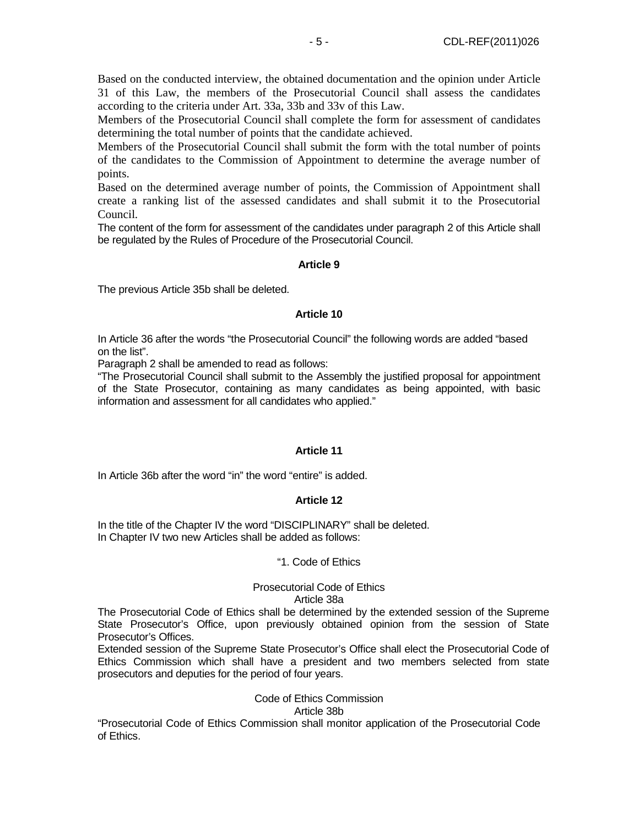Based on the conducted interview, the obtained documentation and the opinion under Article 31 of this Law, the members of the Prosecutorial Council shall assess the candidates according to the criteria under Art. 33a, 33b and 33v of this Law.

Members of the Prosecutorial Council shall complete the form for assessment of candidates determining the total number of points that the candidate achieved.

Members of the Prosecutorial Council shall submit the form with the total number of points of the candidates to the Commission of Appointment to determine the average number of points.

Based on the determined average number of points, the Commission of Appointment shall create a ranking list of the assessed candidates and shall submit it to the Prosecutorial Council.

The content of the form for assessment of the candidates under paragraph 2 of this Article shall be regulated by the Rules of Procedure of the Prosecutorial Council.

#### **Article 9**

The previous Article 35b shall be deleted.

#### **Article 10**

In Article 36 after the words "the Prosecutorial Council" the following words are added "based on the list".

Paragraph 2 shall be amended to read as follows:

"The Prosecutorial Council shall submit to the Assembly the justified proposal for appointment of the State Prosecutor, containing as many candidates as being appointed, with basic information and assessment for all candidates who applied."

#### **Article 11**

In Article 36b after the word "in" the word "entire" is added.

#### **Article 12**

In the title of the Chapter IV the word "DISCIPLINARY" shall be deleted. In Chapter IV two new Articles shall be added as follows:

#### "1. Code of Ethics

#### Prosecutorial Code of Ethics Article 38a

The Prosecutorial Code of Ethics shall be determined by the extended session of the Supreme State Prosecutor's Office, upon previously obtained opinion from the session of State Prosecutor's Offices.

Extended session of the Supreme State Prosecutor's Office shall elect the Prosecutorial Code of Ethics Commission which shall have a president and two members selected from state prosecutors and deputies for the period of four years.

#### Code of Ethics Commission

Article 38b

"Prosecutorial Code of Ethics Commission shall monitor application of the Prosecutorial Code of Ethics.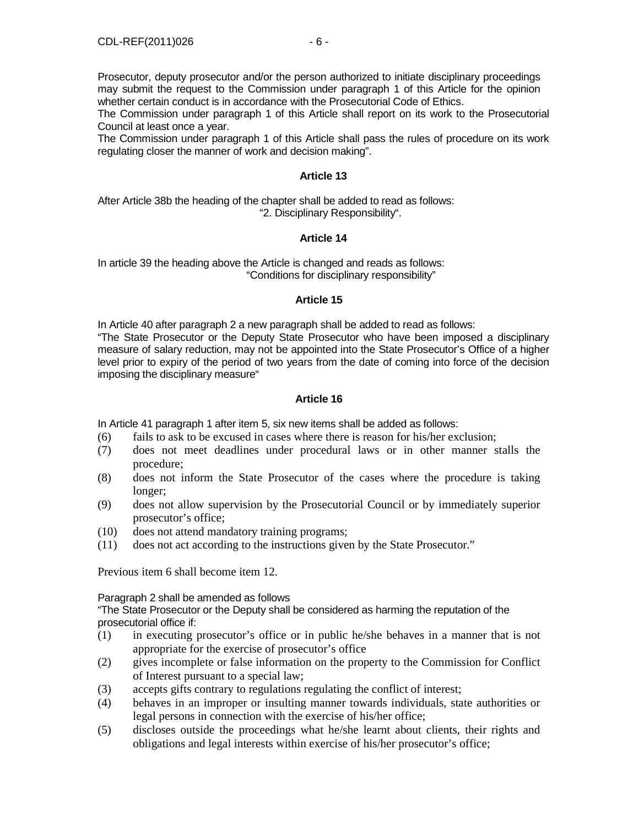Prosecutor, deputy prosecutor and/or the person authorized to initiate disciplinary proceedings may submit the request to the Commission under paragraph 1 of this Article for the opinion whether certain conduct is in accordance with the Prosecutorial Code of Ethics.

The Commission under paragraph 1 of this Article shall report on its work to the Prosecutorial Council at least once a year.

The Commission under paragraph 1 of this Article shall pass the rules of procedure on its work regulating closer the manner of work and decision making".

#### **Article 13**

After Article 38b the heading of the chapter shall be added to read as follows: "2. Disciplinary Responsibility".

#### **Article 14**

In article 39 the heading above the Article is changed and reads as follows: "Conditions for disciplinary responsibility"

#### **Article 15**

In Article 40 after paragraph 2 a new paragraph shall be added to read as follows: "The State Prosecutor or the Deputy State Prosecutor who have been imposed a disciplinary measure of salary reduction, may not be appointed into the State Prosecutor's Office of a higher level prior to expiry of the period of two years from the date of coming into force of the decision imposing the disciplinary measure"

#### **Article 16**

In Article 41 paragraph 1 after item 5, six new items shall be added as follows:

- (6) fails to ask to be excused in cases where there is reason for his/her exclusion;
- (7) does not meet deadlines under procedural laws or in other manner stalls the procedure;
- (8) does not inform the State Prosecutor of the cases where the procedure is taking longer;
- (9) does not allow supervision by the Prosecutorial Council or by immediately superior prosecutor's office;
- (10) does not attend mandatory training programs;
- (11) does not act according to the instructions given by the State Prosecutor."

Previous item 6 shall become item 12.

Paragraph 2 shall be amended as follows

"The State Prosecutor or the Deputy shall be considered as harming the reputation of the prosecutorial office if:

- (1) in executing prosecutor's office or in public he/she behaves in a manner that is not appropriate for the exercise of prosecutor's office
- (2) gives incomplete or false information on the property to the Commission for Conflict of Interest pursuant to a special law;
- (3) accepts gifts contrary to regulations regulating the conflict of interest;
- (4) behaves in an improper or insulting manner towards individuals, state authorities or legal persons in connection with the exercise of his/her office;
- (5) discloses outside the proceedings what he/she learnt about clients, their rights and obligations and legal interests within exercise of his/her prosecutor's office;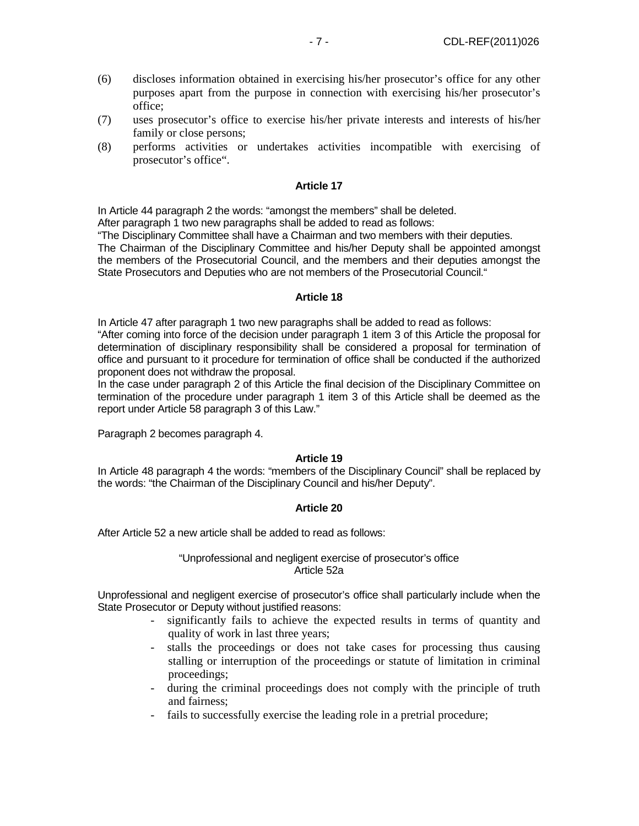- (6) discloses information obtained in exercising his/her prosecutor's office for any other purposes apart from the purpose in connection with exercising his/her prosecutor's office;
- (7) uses prosecutor's office to exercise his/her private interests and interests of his/her family or close persons;
- (8) performs activities or undertakes activities incompatible with exercising of prosecutor's office".

#### **Article 17**

In Article 44 paragraph 2 the words: "amongst the members" shall be deleted.

After paragraph 1 two new paragraphs shall be added to read as follows:

"The Disciplinary Committee shall have a Chairman and two members with their deputies.

The Chairman of the Disciplinary Committee and his/her Deputy shall be appointed amongst the members of the Prosecutorial Council, and the members and their deputies amongst the State Prosecutors and Deputies who are not members of the Prosecutorial Council."

#### **Article 18**

In Article 47 after paragraph 1 two new paragraphs shall be added to read as follows:

"After coming into force of the decision under paragraph 1 item 3 of this Article the proposal for determination of disciplinary responsibility shall be considered a proposal for termination of office and pursuant to it procedure for termination of office shall be conducted if the authorized proponent does not withdraw the proposal.

In the case under paragraph 2 of this Article the final decision of the Disciplinary Committee on termination of the procedure under paragraph 1 item 3 of this Article shall be deemed as the report under Article 58 paragraph 3 of this Law."

Paragraph 2 becomes paragraph 4.

#### **Article 19**

In Article 48 paragraph 4 the words: "members of the Disciplinary Council" shall be replaced by the words: "the Chairman of the Disciplinary Council and his/her Deputy".

#### **Article 20**

After Article 52 a new article shall be added to read as follows:

#### "Unprofessional and negligent exercise of prosecutor's office Article 52a

Unprofessional and negligent exercise of prosecutor's office shall particularly include when the State Prosecutor or Deputy without justified reasons:

- significantly fails to achieve the expected results in terms of quantity and quality of work in last three years;
- stalls the proceedings or does not take cases for processing thus causing stalling or interruption of the proceedings or statute of limitation in criminal proceedings;
- during the criminal proceedings does not comply with the principle of truth and fairness;
- fails to successfully exercise the leading role in a pretrial procedure;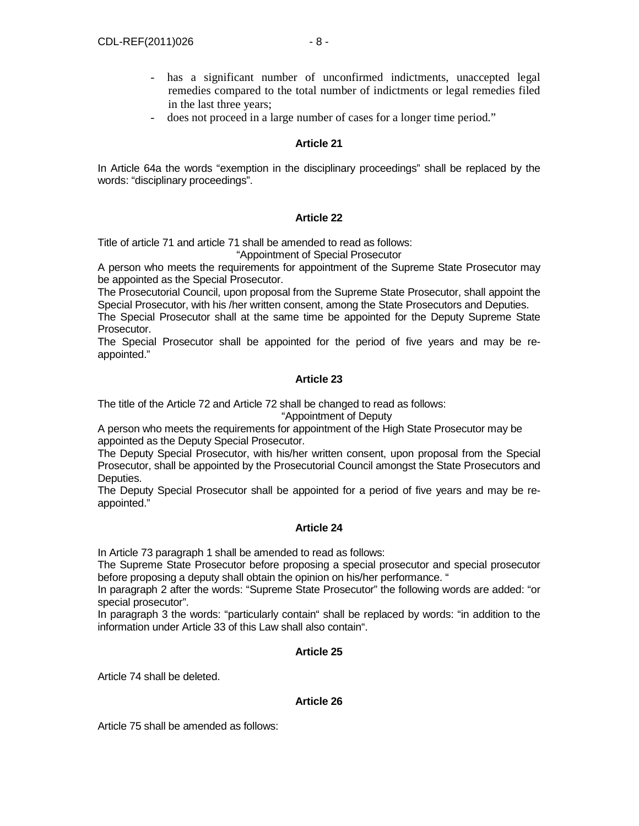- has a significant number of unconfirmed indictments, unaccepted legal remedies compared to the total number of indictments or legal remedies filed in the last three years;
- does not proceed in a large number of cases for a longer time period."

#### **Article 21**

In Article 64a the words "exemption in the disciplinary proceedings" shall be replaced by the words: "disciplinary proceedings".

## **Article 22**

Title of article 71 and article 71 shall be amended to read as follows:

"Appointment of Special Prosecutor

A person who meets the requirements for appointment of the Supreme State Prosecutor may be appointed as the Special Prosecutor.

The Prosecutorial Council, upon proposal from the Supreme State Prosecutor, shall appoint the Special Prosecutor, with his /her written consent, among the State Prosecutors and Deputies.

The Special Prosecutor shall at the same time be appointed for the Deputy Supreme State Prosecutor.

The Special Prosecutor shall be appointed for the period of five years and may be reappointed."

#### **Article 23**

The title of the Article 72 and Article 72 shall be changed to read as follows:

"Appointment of Deputy

A person who meets the requirements for appointment of the High State Prosecutor may be appointed as the Deputy Special Prosecutor.

The Deputy Special Prosecutor, with his/her written consent, upon proposal from the Special Prosecutor, shall be appointed by the Prosecutorial Council amongst the State Prosecutors and Deputies.

The Deputy Special Prosecutor shall be appointed for a period of five years and may be reappointed."

#### **Article 24**

In Article 73 paragraph 1 shall be amended to read as follows:

The Supreme State Prosecutor before proposing a special prosecutor and special prosecutor before proposing a deputy shall obtain the opinion on his/her performance. "

In paragraph 2 after the words: "Supreme State Prosecutor" the following words are added: "or special prosecutor".

In paragraph 3 the words: "particularly contain" shall be replaced by words: "in addition to the information under Article 33 of this Law shall also contain".

#### **Article 25**

Article 74 shall be deleted.

#### **Article 26**

Article 75 shall be amended as follows: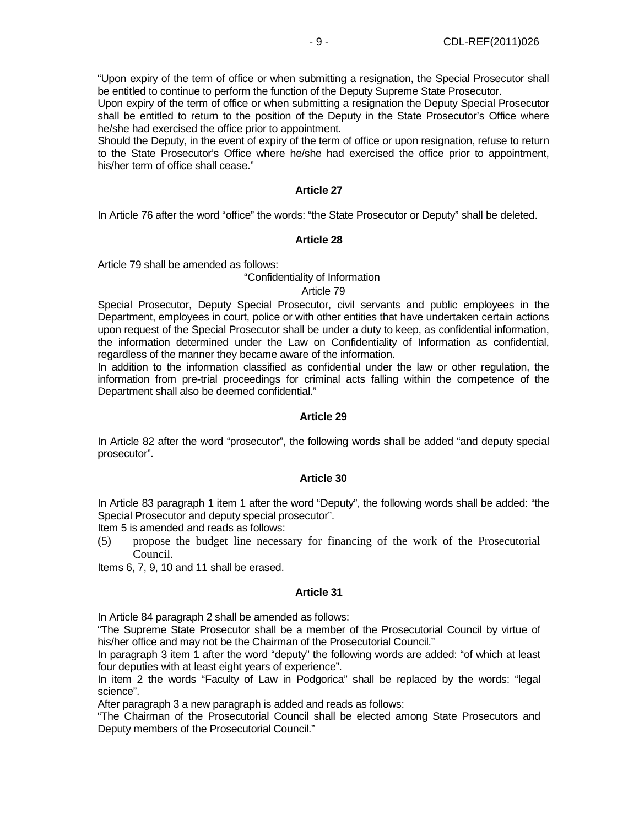"Upon expiry of the term of office or when submitting a resignation, the Special Prosecutor shall be entitled to continue to perform the function of the Deputy Supreme State Prosecutor.

Upon expiry of the term of office or when submitting a resignation the Deputy Special Prosecutor shall be entitled to return to the position of the Deputy in the State Prosecutor's Office where he/she had exercised the office prior to appointment.

Should the Deputy, in the event of expiry of the term of office or upon resignation, refuse to return to the State Prosecutor's Office where he/she had exercised the office prior to appointment, his/her term of office shall cease."

#### **Article 27**

In Article 76 after the word "office" the words: "the State Prosecutor or Deputy" shall be deleted.

#### **Article 28**

Article 79 shall be amended as follows:

#### "Confidentiality of Information

#### Article 79

Special Prosecutor, Deputy Special Prosecutor, civil servants and public employees in the Department, employees in court, police or with other entities that have undertaken certain actions upon request of the Special Prosecutor shall be under a duty to keep, as confidential information, the information determined under the Law on Confidentiality of Information as confidential, regardless of the manner they became aware of the information.

In addition to the information classified as confidential under the law or other regulation, the information from pre-trial proceedings for criminal acts falling within the competence of the Department shall also be deemed confidential."

#### **Article 29**

In Article 82 after the word "prosecutor", the following words shall be added "and deputy special prosecutor".

#### **Article 30**

In Article 83 paragraph 1 item 1 after the word "Deputy", the following words shall be added: "the Special Prosecutor and deputy special prosecutor".

Item 5 is amended and reads as follows:

(5) propose the budget line necessary for financing of the work of the Prosecutorial Council.

Items 6, 7, 9, 10 and 11 shall be erased.

#### **Article 31**

In Article 84 paragraph 2 shall be amended as follows:

"The Supreme State Prosecutor shall be a member of the Prosecutorial Council by virtue of his/her office and may not be the Chairman of the Prosecutorial Council."

In paragraph 3 item 1 after the word "deputy" the following words are added: "of which at least four deputies with at least eight years of experience".

In item 2 the words "Faculty of Law in Podgorica" shall be replaced by the words: "legal science".

After paragraph 3 a new paragraph is added and reads as follows:

"The Chairman of the Prosecutorial Council shall be elected among State Prosecutors and Deputy members of the Prosecutorial Council."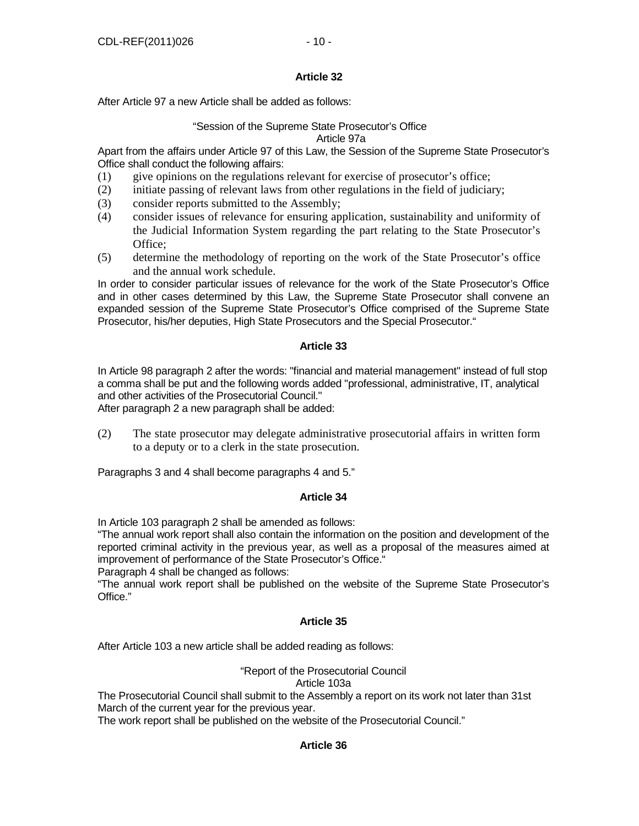#### **Article 32**

After Article 97 a new Article shall be added as follows:

"Session of the Supreme State Prosecutor's Office

Article 97a

Apart from the affairs under Article 97 of this Law, the Session of the Supreme State Prosecutor's Office shall conduct the following affairs:

- (1) give opinions on the regulations relevant for exercise of prosecutor's office;
- (2) initiate passing of relevant laws from other regulations in the field of judiciary;
- (3) consider reports submitted to the Assembly;
- (4) consider issues of relevance for ensuring application, sustainability and uniformity of the Judicial Information System regarding the part relating to the State Prosecutor's Office;
- (5) determine the methodology of reporting on the work of the State Prosecutor's office and the annual work schedule.

In order to consider particular issues of relevance for the work of the State Prosecutor's Office and in other cases determined by this Law, the Supreme State Prosecutor shall convene an expanded session of the Supreme State Prosecutor's Office comprised of the Supreme State Prosecutor, his/her deputies, High State Prosecutors and the Special Prosecutor."

#### **Article 33**

In Article 98 paragraph 2 after the words: "financial and material management" instead of full stop a comma shall be put and the following words added "professional, administrative, IT, analytical and other activities of the Prosecutorial Council."

After paragraph 2 a new paragraph shall be added:

(2) The state prosecutor may delegate administrative prosecutorial affairs in written form to a deputy or to a clerk in the state prosecution.

Paragraphs 3 and 4 shall become paragraphs 4 and 5."

#### **Article 34**

In Article 103 paragraph 2 shall be amended as follows:

"The annual work report shall also contain the information on the position and development of the reported criminal activity in the previous year, as well as a proposal of the measures aimed at improvement of performance of the State Prosecutor's Office."

Paragraph 4 shall be changed as follows:

"The annual work report shall be published on the website of the Supreme State Prosecutor's Office."

#### **Article 35**

After Article 103 a new article shall be added reading as follows:

# "Report of the Prosecutorial Council

Article 103a

The Prosecutorial Council shall submit to the Assembly a report on its work not later than 31st March of the current year for the previous year.

The work report shall be published on the website of the Prosecutorial Council."

## **Article 36**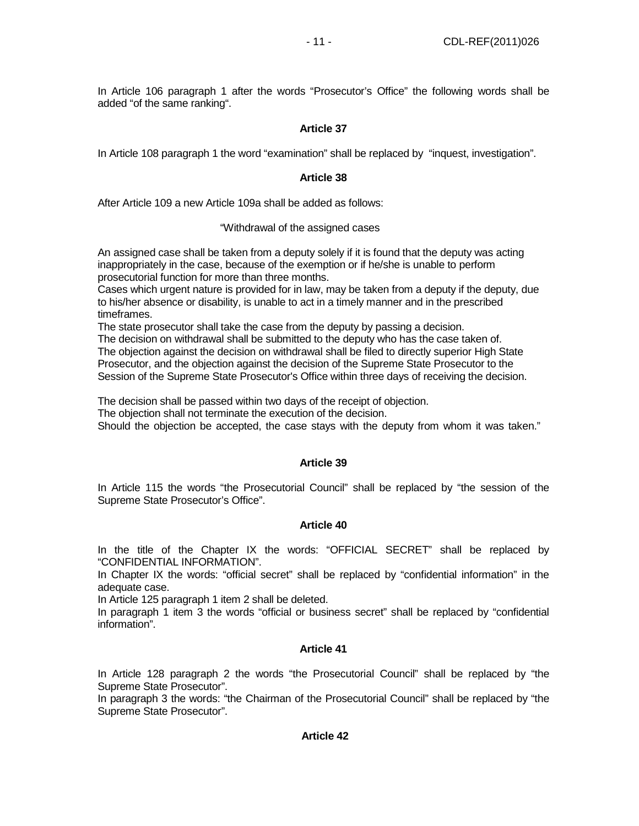In Article 106 paragraph 1 after the words "Prosecutor's Office" the following words shall be added "of the same ranking".

### **Article 37**

In Article 108 paragraph 1 the word "examination" shall be replaced by "inquest, investigation".

### **Article 38**

After Article 109 a new Article 109a shall be added as follows:

#### "Withdrawal of the assigned cases

An assigned case shall be taken from a deputy solely if it is found that the deputy was acting inappropriately in the case, because of the exemption or if he/she is unable to perform prosecutorial function for more than three months.

Cases which urgent nature is provided for in law, may be taken from a deputy if the deputy, due to his/her absence or disability, is unable to act in a timely manner and in the prescribed timeframes.

The state prosecutor shall take the case from the deputy by passing a decision.

The decision on withdrawal shall be submitted to the deputy who has the case taken of. The objection against the decision on withdrawal shall be filed to directly superior High State Prosecutor, and the objection against the decision of the Supreme State Prosecutor to the Session of the Supreme State Prosecutor's Office within three days of receiving the decision.

The decision shall be passed within two days of the receipt of objection.

The objection shall not terminate the execution of the decision.

Should the objection be accepted, the case stays with the deputy from whom it was taken."

#### **Article 39**

In Article 115 the words "the Prosecutorial Council" shall be replaced by "the session of the Supreme State Prosecutor's Office".

#### **Article 40**

In the title of the Chapter IX the words: "OFFICIAL SECRET" shall be replaced by "CONFIDENTIAL INFORMATION".

In Chapter IX the words: "official secret" shall be replaced by "confidential information" in the adequate case.

In Article 125 paragraph 1 item 2 shall be deleted.

In paragraph 1 item 3 the words "official or business secret" shall be replaced by "confidential information".

#### **Article 41**

In Article 128 paragraph 2 the words "the Prosecutorial Council" shall be replaced by "the Supreme State Prosecutor".

In paragraph 3 the words: "the Chairman of the Prosecutorial Council" shall be replaced by "the Supreme State Prosecutor".

#### **Article 42**